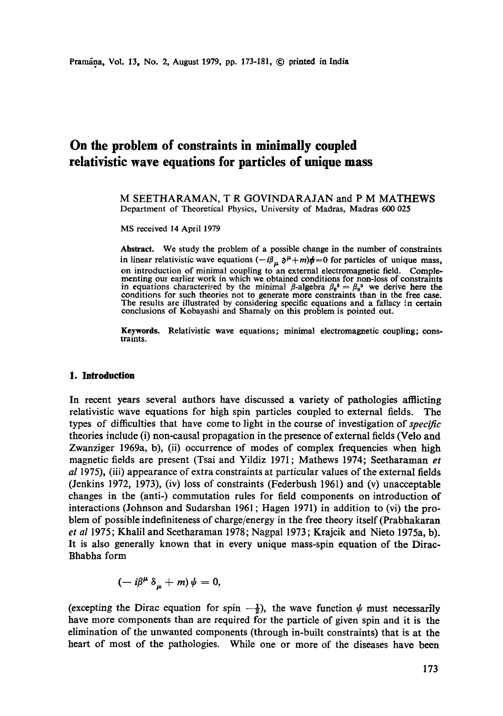# **On the problem of constraints in minimally coupled relativistic wave equations for particles of unique mass**

M SEETHARAMAN, T R GOVINDARAJAN and P M MATHEWS Department of Theoretical Physics, University of Madras, Madras 600 025

MS received 14 April 1979

**Abstract.** We study the problem of a possible change in the number of constraints in linear relativistic wave equations  $(-i\beta_{\mu} \partial^{\mu} + m)\phi = 0$  for particles of unique mass, on introduction of minimal coupling to an external electromagnetic field. Complementing our earlier work in which we obtained conditions for non-loss of constraints in equations characterised by the minimal  $\beta$ -algebra  $\beta_0^* = \beta_0^*$  we derive here the conditions for such theories not to generate more constraints than in the free case. The results are illustrated by considering specific equations and a fallacy in certain conclusions of Kobayashi and Shamaly on this problem is pointed out.

**Keywords.** Relativistic wave equations; minimal electromagnetic coupling; constraints.

#### **1. Introduction**

In recent years several authors have discussed a variety of pathologies afflicting relativistic wave equations for high spin particles coupled to external fields. The types of difficulties that have come to light in the course of investigation of *specific*  theories include (i) non-causal propagation in the presence of external fields (Velo and Zwanziger 1969a, b), (ii) occurrence of modes of complex frequencies when high magnetic fields are present (Tsai and Yildiz 1971; Mathews 1974; Seetharaman *et al* 1975), (iii) appearance of extra constraints at particular values of the external fields (Jenkins 1972, 1973), (iv) loss of constraints (Federbush 1961) and (v) unacceptable changes in the (anti-) commutation rules for field components on introduction of interactions (Johnson and Sudarshan 1961 ; Hagen 1971) in addition to (vi) the problem of possible indefiniteness of charge/energy in the free theory itself (Prabhakaran *et al* 1975; Khalil and Seetharaman 1978; Nagpal 1973; Krajcik and Nieto 1975a, b). It is also generally known that in every unique mass-spin equation of the Dirac-Bhabha form

$$
(-i\beta^{\mu}\,\delta_{\mu}+m)\,\psi=0,
$$

(excepting the Dirac equation for spin  $-\frac{1}{2}$ ), the wave function  $\psi$  must necessarily have more components than are required for the particle of given spin and it is the elimination of the unwanted components (through in-built constraints) that is at the heart of most of the pathologies. While one or more of the diseases have been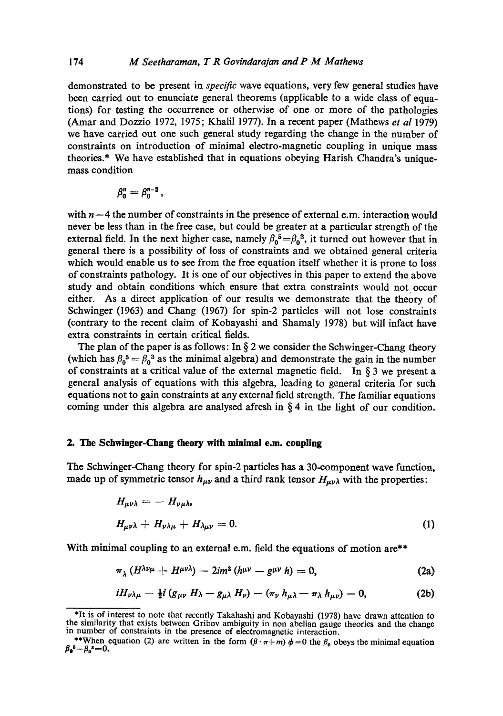demonstrated to be present in *specific* wave equations, very few general studies have been carried out to enunciate general theorems (applicable to a wide class of equations) for testing the occurrence or otherwise of one or more of the pathologies (Amar and Dozzio 1972, 1975; Khalil 1977). In a recent paper (Mathews *et al* 1979) we have carried out one such general study regarding the change in the number of constraints on introduction of minimal electro-magnetic coupling in unique mass theories.\* We have established that in equations obeying Harish Chandra's uniquemass condition

$$
\beta_0^n=\beta_0^{n-2},
$$

with  $n = 4$  the number of constraints in the presence of external e.m. interaction would never be less than in the free case, but could be greater at a particular strength of the external field. In the next higher case, namely  $\beta_0^5 = \beta_0^3$ , it turned out however that in general there is a possibility of loss of constraints and we obtained general criteria which would enable us to see from the free equation itself whether it is prone to loss of constraints pathology. It is one of our objectives in this paper to extend the above study and obtain conditions which ensure that extra constraints would not occur either. As a direct application of our results we demonstrate that the theory of Schwinger (1963) and Chang (1967) for spin-2 particles will not lose constraints (contrary to the recent claim of Kobayashi and Shamaly 1978) but will infact have extra constraints in certain critical fields.

The plan of the paper is as follows: In  $\S 2$  we consider the Schwinger-Chang theory (which has  $\beta_0^5 = \beta_0^3$  as the minimal algebra) and demonstrate the gain in the number of constraints at a critical value of the external magnetic field. In  $\S$  3 we present a general analysis of equations with this algebra, leading to general criteria for such equations not to gain constraints at any external field strength. The familiar equations coming under this algebra are analysed afresh in  $\S 4$  in the light of our condition.

## **2. The Schwinger-Chang theory with minimal e.m. coupling**

The Schwinger-Chang theory for spin-2 particles has a 30-component wave function, made up of symmetric tensor  $h_{\mu\nu}$  and a third rank tensor  $H_{\mu\nu\lambda}$  with the properties:

$$
H_{\mu\nu\lambda} = - H_{\nu\mu\lambda},
$$
  

$$
H_{\mu\nu\lambda} + H_{\nu\lambda\mu} + H_{\lambda\mu\nu} = 0.
$$
 (1)

With minimal coupling to an external e.m. field the equations of motion are\*\*

$$
\pi_{\lambda}(H^{\lambda\nu\mu}+H^{\mu\nu\lambda})-2im^{2}(h^{\mu\nu}-g^{\mu\nu}h)=0,
$$
\n(2a)

$$
iH_{\nu\lambda\mu}-\tfrac{1}{2}i\left(g_{\mu\nu}H_{\lambda}-g_{\mu\lambda}H_{\nu}\right)-\left(\pi_{\nu}h_{\mu\lambda}-\pi_{\lambda}h_{\mu\nu}\right)=0,
$$
 (2b)

<sup>\*</sup>It is of interest to note that recently Takahashi and Kobayashi (1978) have drawn attention to **the** similarity that exists between Gribov ambiguity in non abelian gauge theories and the change in number of constraints in the presence of electromagnetic interaction.

<sup>\*\*</sup>When equation (2) are written in the form  $(\beta \cdot \pi + m) \phi = 0$  the  $\beta_0$  obeys the minimal equation  $\beta_0^s - \beta_0^s = 0$ .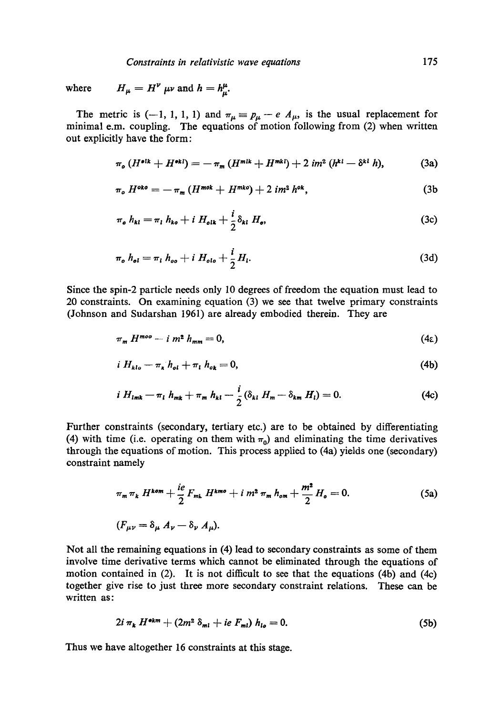where  $H_{\mu} = H^{\nu} \mu \nu$  and  $h = h^{\mu}_{\mu}$ .

The metric is (-1, 1, 1, 1) and  $\pi_{\mu} \equiv p_{\mu} - e A_{\mu}$ , is the usual replacement for minimal e.m. coupling. The equations of motion following from (2) when written out explicitly have the form:

$$
\pi_o (H^{\bullet ik} + H^{\bullet kl}) = - \pi_m (H^{\bullet lk} + H^{\bullet kl}) + 2 im^2 (h^{kl} - \delta^{kl} h), \tag{3a}
$$

$$
\pi_o H^{oko} = -\pi_m (H^{mok} + H^{mko}) + 2 im^2 h^{ok}, \qquad (3b)
$$

$$
\pi_{o} h_{kl} = \pi_{l} h_{ko} + i H_{olk} + \frac{i}{2} \delta_{kl} H_{o}, \qquad (3c)
$$

$$
\pi_o h_{ol} = \pi_l h_{oo} + i H_{olo} + \frac{i}{2} H_l.
$$
 (3d)

Since the spin-2 particle needs only 10 degrees of freedom the equation must lead to 20 constraints. On examining equation (3) we see that twelve primary constraints (Johnson and Sudarshan 1961) are already embodied therein. They are

$$
\pi_m H^{moo} - i m^2 h_{mm} = 0, \qquad (4.2)
$$

$$
i H_{klo} - \pi_k h_{ol} + \pi_l h_{ok} = 0, \qquad (4b)
$$

$$
i H_{lmk} - \pi_l h_{mk} + \pi_m h_{kl} - \frac{i}{2} (\delta_{kl} H_m - \delta_{km} H_l) = 0.
$$
 (4c)

Further constraints (secondary, tertiary etc.) are to be obtained by differentiating (4) with time (i.e. operating on them with  $\pi_0$ ) and eliminating the time derivatives through the equations of motion. This process applied to (4a) yields one (secondary) constraint namely

$$
\pi_m \pi_k H^{kom} + \frac{ie}{2} F_{mk} H^{kmo} + i m^2 \pi_m h_{om} + \frac{m^2}{2} H_o = 0.
$$
 (5a)  

$$
(F_{\mu\nu} = \delta_\mu A_\nu - \delta_\nu A_\mu).
$$

Not all the remaining equations in (4) lead to secondary constraints as some of them involve time derivative terms which cannot be eliminated through the equations of motion contained in (2). It is not difficult to see that the equations (4b) and (4c) together give rise to just three more secondary constraint relations. These can be written as:

$$
2i \pi_k H^{\bullet k m} + (2m^2 \delta_{ml} + ie F_{ml}) h_{lo} = 0. \qquad (5b)
$$

Thus we have altogether 16 constraints at this stage.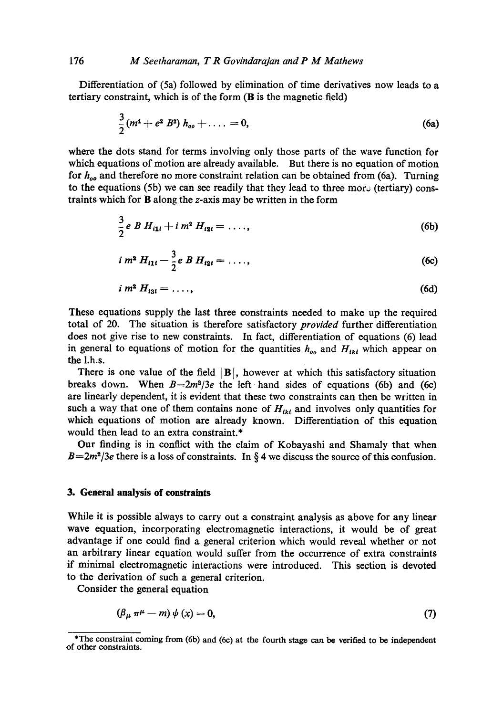Differentiation of (5a) followed by elimination of time derivatives now leads to a tertiary constraint, which is of the form (B is the magnetic field)

$$
\frac{3}{2}(m^4 + e^2 B^2) h_{oo} + \ldots = 0, \qquad (6a)
$$

where the dots stand for terms involving only those parts of the wave function for which equations of motion are already available. But there is no equation of motion for  $h_{oo}$  and therefore no more constraint relation can be obtained from (6a). Turning to the equations (5b) we can see readily that they lead to three more (tertiary) constraints which for B along the z-axis may be written in the form

$$
\frac{3}{2}e B H_{i1i} + i m^2 H_{i2i} = \ldots, \qquad (6b)
$$

$$
i \, m^2 \, H_{11i} - \frac{3}{2} e \, B \, H_{12i} = \ldots \,, \tag{6c}
$$

$$
i\,m^2\,H_{131}=\ldots\,,\qquad \qquad (6d)
$$

These equations supply the last three constraints needed to make up the required total of 20. The situation is therefore satisfactory *provided* further differentiation does not give rise to new constraints. In fact, differentiation of equations (6) lead in general to equations of motion for the quantities  $h_{oo}$  and  $H_{1ki}$  which appear on the 1.h.s.

There is one value of the field  $|B|$ , however at which this satisfactory situation breaks down. When  $B=2m^2/3e$  the left hand sides of equations (6b) and (6c) are linearly dependent, it is evident that these two constraints can then be written in such a way that one of them contains none of  $H_{lkl}$  and involves only quantities for which equations of motion are already known. Differentiation of this equation would then lead to an extra constraint.\*

Our finding is in conflict with the claim of Kobayashi and Shamaly that when  $B=2m^2/3e$  there is a loss of constraints. In § 4 we discuss the source of this confusion.

## **3. General analysis of constraints**

While it is possible always to carry out a constraint analysis as above for any linear wave equation, incorporating electromagnetic interactions, it would be of great advantage if one could find a general criterion which would reveal whether or not an arbitrary linear equation would suffer from the occurrence of extra constraints if minimal electromagnetic interactions were introduced. This section is devoted to the derivation of such a general criterion.

Consider the general equation

$$
(\beta_{\mu} \pi^{\mu} - m) \psi(x) = 0, \qquad (7)
$$

<sup>\*</sup>The constraint coming from (6b) and (6c) at the fourth stage can bo verified to be independent of other constraints.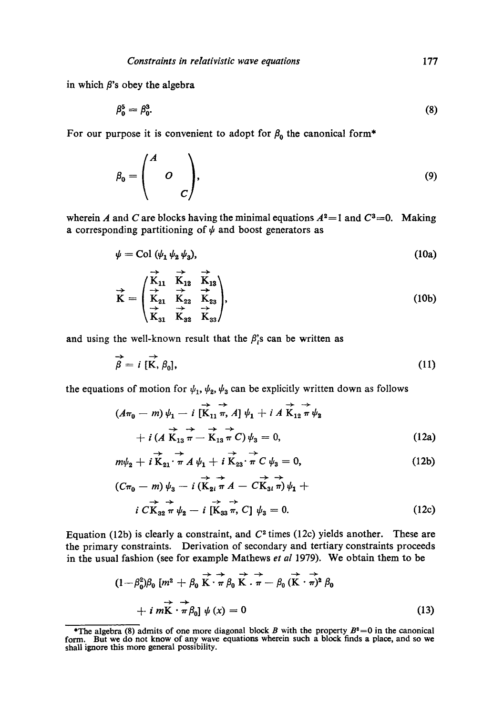in which  $\beta$ 's obey the algebra

$$
\beta_0^5 = \beta_0^3. \tag{8}
$$

For our purpose it is convenient to adopt for  $\beta_0$  the canonical form\*

$$
\beta_0 = \begin{pmatrix} A & & \\ & O & \\ & & C \end{pmatrix}, \tag{9}
$$

wherein A and C are blocks having the minimal equations  $A^2 = 1$  and  $C^3 = 0$ . Making a corresponding partitioning of  $\psi$  and boost generators as

$$
\psi = \text{Col} \ (\psi_1 \ \psi_2 \ \psi_3), \tag{10a}
$$

$$
\vec{K} = \begin{pmatrix}\n\overrightarrow{K}_{11} & \overrightarrow{K}_{12} & \overrightarrow{K}_{13} \\
\overrightarrow{K}_{21} & \overrightarrow{K}_{22} & \overrightarrow{K}_{23} \\
\overrightarrow{K}_{31} & \overrightarrow{K}_{32} & \overrightarrow{K}_{33}\n\end{pmatrix},
$$
\n(10b)

and using the well-known result that the  $\beta_{i}^{s}$  can be written as

$$
\overrightarrow{\beta} = i \; [\overrightarrow{K}, \beta_0], \tag{11}
$$

the equations of motion for  $\psi_1, \psi_2, \psi_3$  can be explicitly written down as follows

$$
\begin{aligned}\n\left(A\pi_0 - m\right)\psi_1 - i \overrightarrow{\left[\mathbf{K}_{11} \pi, A\right]} \psi_1 + i \overrightarrow{A} \overrightarrow{\mathbf{K}_{12} \pi} \psi_2 \\
+ i \left(\overrightarrow{A} \overrightarrow{\mathbf{K}_{13} \pi} - \overrightarrow{\mathbf{K}_{13} \pi} C\right) \psi_3 = 0,\n\end{aligned} \tag{12a}
$$

$$
m\psi_2 + i\overrightarrow{\mathbf{K}}_{21}\cdot\overrightarrow{\pi}A\psi_1 + i\overrightarrow{\mathbf{K}}_{23}\cdot\overrightarrow{\pi}C\psi_3 = 0, \qquad (12b)
$$

$$
(C\pi_0 - m) \psi_3 - i \overrightarrow{(K_{2i} \pi A - C\overrightarrow{K_{3i} \pi})} \psi_1 + i \overrightarrow{CK_{3i} \pi} \psi_2 - i \overrightarrow{[K_{33} \pi, C]} \psi_3 = 0.
$$
 (12c)

Equation (12b) is clearly a constraint, and  $C<sup>2</sup>$  times (12c) yields another. These are the primary constraints. Derivation of secondary and tertiary constraints proceeds in the usual fashion (see for example Mathews *et al* 1979). We obtain them to be

$$
(1 - \beta_0^2)\beta_0 \left[ m^2 + \beta_0 \overrightarrow{K} \cdot \overrightarrow{\pi} \beta_0 \overrightarrow{K} \cdot \overrightarrow{\pi} - \beta_0 (\overrightarrow{K} \cdot \overrightarrow{\pi})^2 \beta_0 + i m \overrightarrow{K} \cdot \overrightarrow{\pi} \beta_0 \right] \psi(x) = 0
$$
\n(13)

<sup>\*</sup>The algebra (8) admits of one more diagonal block *B* with the property  $B^2=0$  in the canonical form. But we do not know of any wave equations wherein such a block finds a place, and so we shall ignore this more general possibility.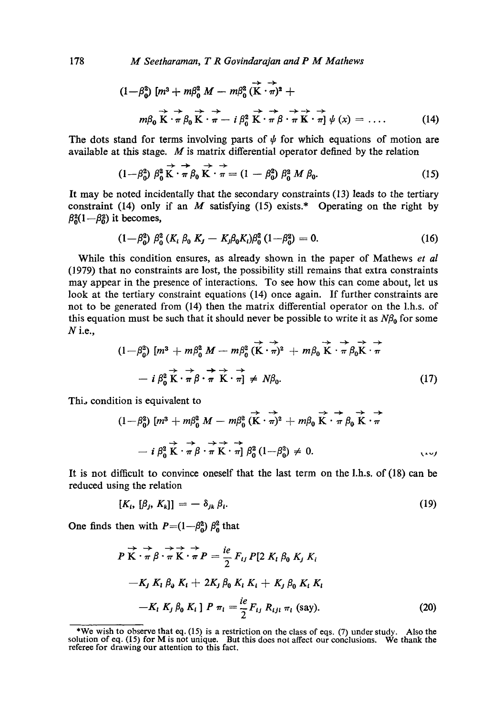178 *M Seetharaman, T R Govindarajan and P M Mathews* 

$$
(1 - \beta_0^2) \left[ m^3 + m \beta_0^2 M - m \beta_0^2 (\vec{K} \cdot \vec{\pi})^2 + m \beta_0 \vec{K} \cdot \vec{\pi} \beta_0 \vec{K} \cdot \vec{\pi} - i \beta_0^2 \vec{K} \cdot \vec{\pi} \beta \vec{\pi} \vec{K} \cdot \vec{\pi} \right] \psi(x) = \dots
$$
 (14)

The dots stand for terms involving parts of  $\psi$  for which equations of motion are available at this stage. M is matrix differential operator defined by the relation

$$
(1 - \beta_0^2) \beta_0^2 \overrightarrow{\mathbf{K}} \cdot \overrightarrow{\pi} \beta_0 \overrightarrow{\mathbf{K}} \cdot \overrightarrow{\pi} = (1 - \beta_0^2) \beta_0^2 M \beta_0.
$$
 (15)

It may be noted incidentally that the secondary constraints (13) leads to the tertiary constraint (14) only if an  $M$  satisfying (15) exists.\* Operating on the right by  $\beta_0^2(1-\beta_0^2)$  it becomes,

$$
(1 - \beta_0^2) \beta_0^2 (K_i \beta_0 K_j - K_j \beta_0 K_i) \beta_0^2 (1 - \beta_0^2) = 0.
$$
 (16)

While this condition ensures, as already shown in the paper of Mathews *et al*  (1979) that no constraints are lost, the possibility still remains that extra constraints may appear in the presence of interactions. To see how this can come about, let us look at the tertiary constraint equations (14) once again. If further constraints are not to be generated from (14) then the matrix differential operator on the 1.h.s. of this equation must be such that it should never be possible to write it as  $N\beta_0$  for some  $N$  i.e.,

$$
(1 - \beta_0^2) \left[ m^3 + m \beta_0^2 M - m \beta_0^2 (\vec{K} \cdot \vec{\pi})^2 + m \beta_0 \vec{K} \cdot \vec{\pi} \beta_0 \vec{K} \cdot \vec{\pi} - i \beta_0^2 \vec{K} \cdot \vec{\pi} \beta \cdot \vec{\pi} \vec{K} \cdot \vec{\pi} \right] \neq N \beta_0.
$$
 (17)

Thi, condition is equivalent to

$$
(1-\beta_0^2)\left[m^3+m\beta_0^2\ M-m\beta_0^2\left(\vec{K}\cdot\vec{\pi}\right)^2+m\beta_0\ \vec{K}\cdot\vec{\pi}\ \beta_0\ \vec{K}\cdot\vec{\pi}\n+ i\ \beta_0^2\ \vec{K}\cdot\vec{\pi}\ \beta\cdot\vec{\pi}\ K\cdot\vec{\pi}\right]\ \beta_0^2\ (1-\beta_0^2)\neq 0.
$$

It is not difficult to convince oneself that the last term on the 1.h.s. of (18) can be reduced using the relation

$$
[K_i, [\beta_j, K_k]] = -\delta_{jk} \beta_i. \tag{19}
$$

One finds then with  $P=(1-\beta_0^2)\beta_0^2$  that

$$
P\overrightarrow{K}\cdot\overrightarrow{\pi}\beta\cdot\overrightarrow{\pi}\overrightarrow{K}\cdot\overrightarrow{\pi}P = \frac{ie}{2}F_{ij}P[2 K_i \beta_0 K_j K_i
$$
  
\n
$$
-K_j K_i \beta_0 K_i + 2K_j \beta_0 K_i K_i + K_j \beta_0 K_i K_i
$$
  
\n
$$
-K_i K_j \beta_0 K_i] P \pi_l = \frac{ie}{2}F_{ij} R_{ijl} \pi_l \text{ (say)}.
$$
 (20)

<sup>\*</sup>We wish to observe that eq. (15) is a restriction on the class of eqs. (7) under study. Also the solution of eq. (15) for M is not unique. But this does not affect our conclusions. We thank the referee for drawing our at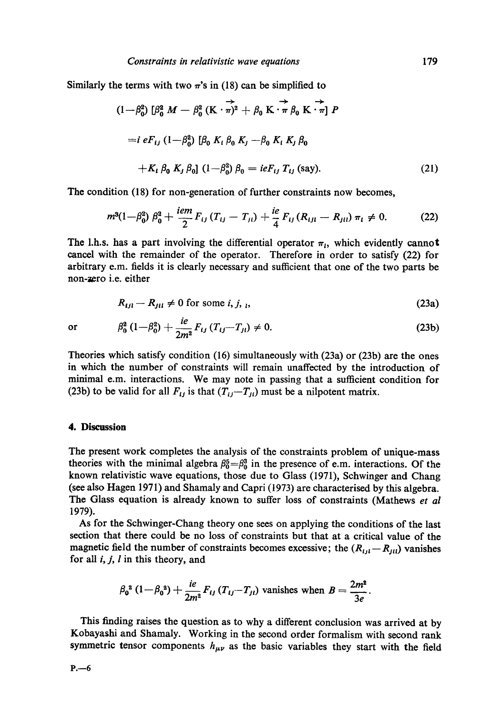Similarly the terms with two  $\pi$ 's in (18) can be simplified to

$$
(1 - \beta_0^2) \left[ \beta_0^2 M - \beta_0^2 (K \cdot \overrightarrow{\pi})^2 + \beta_0 K \cdot \overrightarrow{\pi} \beta_0 K \cdot \overrightarrow{\pi} \right] P
$$
  
=  $i e F_{ij} (1 - \beta_0^2) [\beta_0 K_i \beta_0 K_j - \beta_0 K_i K_j \beta_0 + K_i \beta_0 K_j \beta_0] (1 - \beta_0^2) \beta_0 = i e F_{ij} T_{ij}$  (say). (21)

The condition (18) for non-generation of further constraints now becomes,

$$
m^{3}(1-\beta_{0}^{2})\,\beta_{0}^{2}+\frac{iem}{2}F_{ij}\,(T_{ij}-T_{ji})+\frac{ie}{4}\,F_{ij}\,(R_{ijl}-R_{jll})\,\pi_{l}\neq0.\qquad \qquad (22)
$$

The 1.h.s. has a part involving the differential operator  $\pi_l$ , which evidently cannot cancel with the remainder of the operator. Therefore in order to satisfy (22) for arbitrary e.m. fields it is dearly necessary and sufficient that one of the two parts be non-zero i.e. either

$$
R_{ijl} - R_{jil} \neq 0 \text{ for some } i, j, j,
$$
\n
$$
(23a)
$$

or 
$$
\beta_0^2 (1 - \beta_0^2) + \frac{i e}{2m^2} F_{ij} (T_{ij} - T_{jl}) \neq 0.
$$
 (23b)

Theories which satisfy condition (16) simultaneously with (23a) or (23b) are the ones in which the number of constraints will remain unaffected by the introduction of minimal e.m. interactions. We may note in passing that a sufficient condition for (23b) to be valid for all  $F_{ij}$  is that  $(T_{ij}-T_{ji})$  must be a nilpotent matrix.

## **4. Discussion**

The present work completes the analysis of the constraints problem of unique-mass theories with the minimal algebra  $\beta_0^5=\beta_0^3$  in the presence of e.m. interactions. Of the known relativistic wave equations, those due to Glass (1971), Schwinger and Chang (see also Hagen 1971) and Shamaly and Capri (1973) are characterised by this algebra. The Glass equation is already known to suffer loss of constraints (Mathews *et al*  1979).

As for the Schwinger-Chang theory one sees on applying the conditions of the last section that there could be no loss of constraints but that at a critical value of the magnetic field the number of constraints becomes excessive; the  $(R_{ijl}-R_{jll})$  vanishes for all  $i, j, l$  in this theory, and

$$
\beta_0^2 (1 - \beta_0^2) + \frac{ie}{2m^2} F_{ij} (T_{ij} - T_{ji})
$$
 vanishes when  $B = \frac{2m^2}{3e}$ .

This finding raises the question as to why a different conclusion was arrived at by Kobayashi and Shamaly. Working in the second order formalism with second rank symmetric tensor components  $h_{\mu\nu}$  as the basic variables they start with the field

 $P. -6$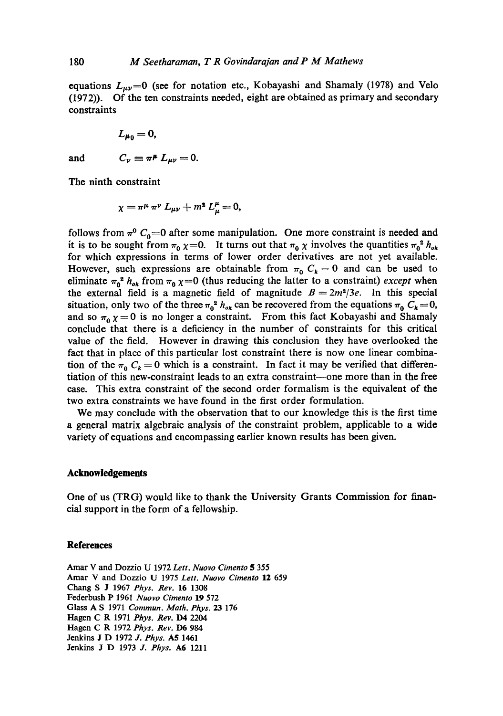equations  $L_{\mu\nu}$ =0 (see for notation etc., Kobayashi and Shamaly (1978) and Velo (1972)). Of the ten constraints needed, eight are obtained as primary and secondary constraints

$$
L_{\mu_0}=0,
$$

and 
$$
C_{\nu} \equiv \pi^{\mu} L_{\mu\nu} = 0.
$$

The ninth constraint

$$
\chi = \pi^{\mu} \pi^{\nu} L_{\mu\nu} + m^2 L_{\mu}^{\mu} = 0,
$$

follows from  $\pi^0$  C<sub>0</sub>=0 after some manipulation. One more constraint is needed and it is to be sought from  $\pi_0 \chi = 0$ . It turns out that  $\pi_0 \chi$  involves the quantities  $\pi_0^2 h_{ok}$ for which expressions in terms of lower order derivatives are not yet available. However, such expressions are obtainable from  $\pi_0 C_k = 0$  and can be used to eliminate  $\pi_0^2 h_{ok}$  from  $\pi_0 \chi = 0$  (thus reducing the latter to a constraint) *except* when the external field is a magnetic field of magnitude  $B = 2m^2/3e$ . In this special situation, only two of the three  $\pi_0^2$  *h<sub>ok</sub>* can be recovered from the equations  $\pi_0$   $C_k = 0$ , and so  $\pi_0 \chi = 0$  is no longer a constraint. From this fact Kobayashi and Shamaly conclude that there is a deficiency in the number of constraints for this critical value of the field. However in drawing this conclusion they have overlooked the fact that in place of this particular lost constraint there is now one linear combination of the  $\pi_0 C_k = 0$  which is a constraint. In fact it may be verified that differentiation of this new-constraint leads to an extra constraint—one more than in the free case. This extra constraint of the second order formalism is the equivalent of the two extra constraints we have found in the first order formulation.

We may conclude with the observation that to our knowledge this is the first time a general matrix algebraic analysis of the constraint problem, applicable to a wide variety of equations and encompassing earlier known results has been given.

#### **Acknowledgements**

One of us (TRG) would like to thank the University Grants Commission for financial support in the form of a fellowship.

### **References**

Amar V and Dozzio U 1972 *Lett. Nuovo Cimento 5* 355 Amar V and Dozzio U 1975 *Lett. Nuovo Cimento* 12 659 Chang S J 1967 *Phys. Rev.* 16 1308 Federbush P 1961 *Nuovo Cimento* 19 572 Glass A S 1971 *Commun. Math. Phys. 23* 176 Hagen C R 1971 *Phys. Rev.* D4 2204 Hagen C R 1972 *Phys. Rev.* D6 984 Jenkins J D 1972 *J. Phys. A5* 1461 Jenkins J D 1973 *J. Phys.* A6 1211